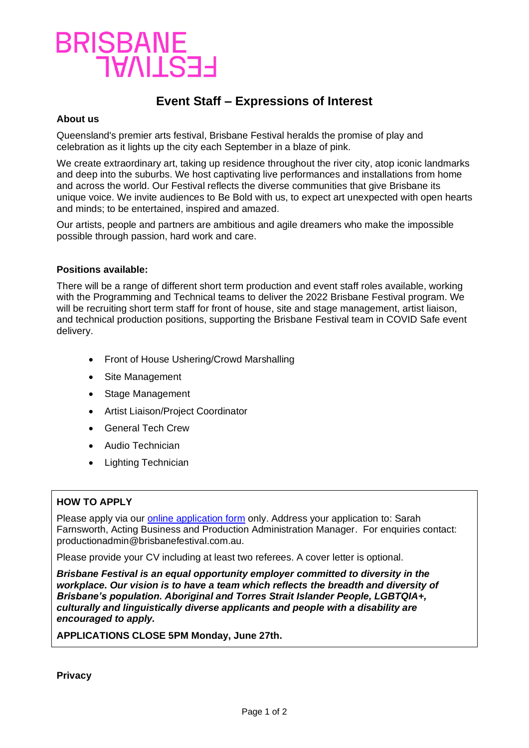## BRISBANE<br>TVAILSEE

## **Event Staff – Expressions of Interest**

### **About us**

Queensland's premier arts festival, Brisbane Festival heralds the promise of play and celebration as it lights up the city each September in a blaze of pink.

We create extraordinary art, taking up residence throughout the river city, atop iconic landmarks and deep into the suburbs. We host captivating live performances and installations from home and across the world. Our Festival reflects the diverse communities that give Brisbane its unique voice. We invite audiences to Be Bold with us, to expect art unexpected with open hearts and minds; to be entertained, inspired and amazed.

Our artists, people and partners are ambitious and agile dreamers who make the impossible possible through passion, hard work and care.

### **Positions available:**

There will be a range of different short term production and event staff roles available, working with the Programming and Technical teams to deliver the 2022 Brisbane Festival program. We will be recruiting short term staff for front of house, site and stage management, artist liaison, and technical production positions, supporting the Brisbane Festival team in COVID Safe event delivery.

- Front of House Ushering/Crowd Marshalling
- Site Management
- Stage Management
- Artist Liaison/Project Coordinator
- General Tech Crew
- Audio Technician
- Lighting Technician

## **HOW TO APPLY**

Please apply via our [online application form](https://www.brisbanefestival.com.au/info/employment/eoi) only. Address your application to: Sarah Farnsworth, Acting Business and Production Administration Manager. For enquiries contact: productionadmin@brisbanefestival.com.au.

Please provide your CV including at least two referees. A cover letter is optional.

*Brisbane Festival is an equal opportunity employer committed to diversity in the workplace. Our vision is to have a team which reflects the breadth and diversity of Brisbane's population. Aboriginal and Torres Strait Islander People, LGBTQIA+, culturally and linguistically diverse applicants and people with a disability are encouraged to apply.*

**APPLICATIONS CLOSE 5PM Monday, June 27th.**